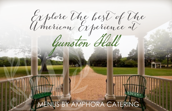Explore the best of the American Experience at

Gunston Hall

## MENUS BY AMPHORA CATERING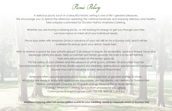Picnic Policy

A delicious picnic lunch in a beautiful historic setting is one of life's greatest pleasures. We encourage you to spend the afternoon exploring the national landmark and enjoying delicious and healthy faire uniquely customized for Gunston Hall by Amphora Catering.

Whether you are having a relaxing picnic, or are looking for energy to get you through your hike, we have menus to meet all of your individual needs.

Place your order with Amphora 24 hrs in advance of your visit (48 hrs for a Sunday visit), and it will be available for pickup upon your arrival, hassle free!

Wish to reserve a space for your private group? Call ahead to inquire for availability. Space is limited. Food and beverage minimums apply. Help us maintain our historic grounds. No trash is to be left behind. Trash bins are provided on the historic grounds.

For the safety of your children and the pleasure of other guests, children 18 and under must be accompanied by an adult at all times. Kindly respect any wedding ceremonies or special events in progress. (Guests may call in advance to plan around those times)

Amphora offers upscale personal picnic boxes, and a selection of gourmet platters to share. All picnics are ready to enjoy with appropriate disposables, serving utensils, and delivery to Gunston Hall. Platters options are available for 10 guests and up. Personal Picnic Boxes Serve 1. Contact Amphora Catering for a custom proposal for your group. Cateringsales@amphoragroup.com, 703-938-3800 EX 1, M-F 8-6

**Amphora Catering offers full service staffed events for your wedding, social or corporate event at Gunston Hall.**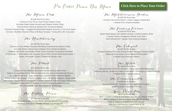P re Order Picnic Box Menu

The *Mazon Club* 

\$16.00 Per Picnic Box Choice of Our Picnic Style Wraps (Select One) Includes Delectable Homemade Pepper Kettle Chips, Penne Pasta Salad & Dessert from Amphora Bakery Chicken Caesar Wrap • Veggie Roasted Red Pepper Hummus • Tuna Sun Dried Tomato • Buffalo Chicken Wrap with Blue Cheese • Turkey BLT with Avocado

The Revolutionary

\$16.00 Per Picnic Box Choice of Our Artisan Assorted Flat Bread Sandwiches (Select One) Includes Potato Salad and a Dessert from Amphora Bakery Caprese with Fresh Mozzarella, Pesto, Sliced Tomato, Garnished with Basil Chiffonade • Roast Beef with Arugula and a Fresh Lemon Basil Mayonnaise • Turkey, Avocado Cream Cheese & Tomato Jam

The *Patrick* 

\$16.00 Per Picnic Box Choice of Our Newest Epicurean Sandwiches (Select One) Served on Assorted Artisan Breads with Mesclun and a Fresh Sliced Tomato Includes Whole Fruit, Side Salad and a Dessert from Amphora Bakery Shrimp Salad with Boursin Cheese • Italian Ham with Roast Peppers, Olives, Basil, Red Onion, Mozzarella & Vinaigrette • Green Goddess with Avocado, Mozzarella, Tomato, Pickled Onion & Sprouts • Harissa Honey Roasted Chicken with Lemon-Basil Aioli, Red Pepper & Manchego

The Protein Picnic

\$17.00n Per Picnic Box Protein Power Bowl with Chicken Breast, Quinoa, Spinach, Cucumber, Tomato & Edamame, Includes Granola and Whole Fruit

## **[Click Here to Place Your Order](mailto:cateringsales%40amphoragroup.com?subject=Order%20for%20Gunston%20Hall%20)**

The Mediterranean Garden \$14.00 Per Picnic Box

Chicken Orzo Pasta Salad • Artisan Asiago Cheese Roll • Dessert from Amphora Bakery

The Fouding Farmer \$14.00 Per Picnic Box

Mixed Field Greens with Grilled Chicken or Grilled Salmon (\$18) • Lemon Thyme Vinaigrette • Whole Grain Roll • Fresh Whole Fruit • Dessert from Amphora Bakery

The Colonial

\$16.00 Per Picnic Box A Finger Sandwich Trio with Shrimp Salad • Tarragon Chicken Salad • Albacore Tuna Salad • Green Bean Potato Salad • Dessert from Amphora Bakery

The Hertle

\$21.00 Per Picnic Box Amphora Mixed Grill with Chicken • Asian Marinated Flank Steak • Old Bay Shrimp • Balsamic Grilled Vegetables • Parmesan Crusted Potatoes • Dessert from Amphora Bakery

The Commonwealth \$18.00 Per Picnic Box

Assorted Gourmet Cheeses • Crisp Vegetable Crudites • Seasonal Fruits • Assorted Crackers

Kids Picnic Fun \$8.00 Per Picnic Box

BOX 1: Cream Cheese & Strawberry Jam Roll Up • Box of Raisins BOX 2: Option 2: Ham & Cheese Roll with Whole Fruit BOX 3: Turkey & Cheddar Roll with Grapes Add Ons: Juice Box \$2, Dessert Treat \$1.50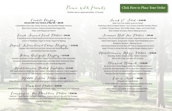Picnic with Friends

Platters Serve Approximately 10 Guests

## **[Click Here to Place Your Order](mailto:cateringsales%40amphoragroup.com?subject=Order%20for%20Gunston%20Hall%20)**

Crudité Display **Served with Your Choice of Dip Trio ~ \$85.00** 

Caramelized Onion Dip, Classic Hummus, Roasted Red Pepper Hummus, Black Olive Hummus, Creamy Roasted Red Pepper Dip, Pesto, and Peppercorn Ranch

Fresh Seasonal Fruit Platter **~ \$94.50**

A Tempting Array of Fresh Seasonal Fruits Sliced and served with your choice of Raspberry Yogurt or Honey Yogurt for Dipping

Elegant International Cheese Display **~ \$125.00**

Draped with Dried Fruits and Nuts, Served with Sliced Baguette and Assorted Gourmet Crackers

Italian Antipasto Display **~ \$175.00**

Amazing Assortment of Genoa Salami, Pepperoncini, Prosciutto, Fresh Mozzarella, Provolone, Marinated Roasted Vegetables, Artichoke Hearts, Kalamata Olives. Accompanied by Toasted Crostini, and Sliced Baguette

Mediterranean Grilled Vegetables **~ \$114.00**

With Aged Balsamic Drizzle, Zucchini, Squash, Portabella Mushrooms, Carrot, Eggplant, Sweet Onion, Fennel, Tri Color Peppers, and Asparagus, Served Room Temperature

Middle Eastern Platter **~ \$76.00** Baba Ghanoush, Hummus, Tabbouleh and Couscous Surrounded by Lightly Toasted Pita

Pinwheel Platter **~ \$125.00** Assorted Pinwheel Wraps to Include Ham and Cheese, Turkey and Cheese and Vegetarian

Lounging on The Plantation Platter **~ \$147.00**

Mexican 7 Layer Dip with Tri-Color Tortilla Chips, Creamy Spinach Dip with Pita Triangles, Assorted Amphora Bakery Desserts Including Fresh Baked Cookies, Brownies, and our most popular Bakery Bars

Snack & Salad **~ \$160.00**

 Build Your Own Salad, Snack or Wrap! Featuring a Bowl of Mixed Greens, Your Choice of Buffalo Chicken Pieces or Grilled Chicken Pieces, Mini Tortilla Wraps, Celery and Carrot Sticks, Blue Cheese and Spicy Ranch Dipping Sauces

Summer Roll Trio Platter **~ \$99.00**

Featuring a Trio of Summer Rolls to Include: Vegetarian Summer Roll with Mixed Field Greens, Gorgonzola Cheese, Fresh Raspberries and a Raspberry Balsamic Dipping Sauce, Vietnamese Shrimp Summer Roll with Peanut Dipping Sauce and a Asian Chicken Summer Roll with Sesame Ginger Dipping Sauce.

Mediterranean Mezze Platter **~ \$150.00** Featuring Stuffed Grape Leaves, Falafel, Hummus,

Olives, Pita Chips and Mini Pita Pockets

Boxwood Brunch **~ \$150.00** An Assortment of Mini Bagels and a Trio of Cream Cheeses to Include: Smoked Salmon, Chive, and Plain Cream Cheeses Served with Fresh Fruit Salad and Your Choice of Raspberry Flavored Honey Flavored Greek Yogurt Dipping Sauces

Love is Sweet **~ \$45.00**

(Requires 48 Hour Notice) A Variety of Bite Size Cupcakes by Amphora Bakery Including: Red Velvet, Chocolate and Vanilla and a Variety of Cookies to Include: Oatmeal Raisin, Chocolate Chip and Chocolate Decadence